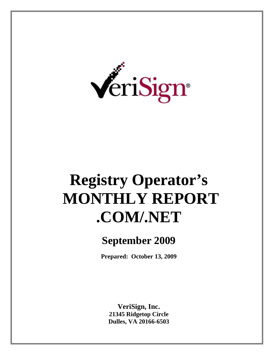

# **Registry Operator's MONTHLY REPORT .COM/.NET**

# **September 2009**

**Prepared: October 13, 2009** 

**VeriSign, Inc. 21345 Ridgetop Circle Dulles, VA 20166-6503**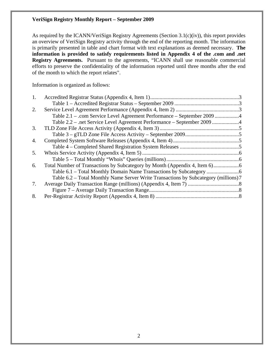As required by the ICANN/VeriSign Registry Agreements (Section 3.1(c)(iv)), this report provides an overview of VeriSign Registry activity through the end of the reporting month. The information is primarily presented in table and chart format with text explanations as deemed necessary. **The information is provided to satisfy requirements listed in Appendix 4 of the .com and .net Registry Agreements.** Pursuant to the agreements, "ICANN shall use reasonable commercial efforts to preserve the confidentiality of the information reported until three months after the end of the month to which the report relates".

Information is organized as follows:

| 2. |                                                                                      |  |
|----|--------------------------------------------------------------------------------------|--|
|    | Table 2.1 – .com Service Level Agreement Performance – September 2009                |  |
|    | Table 2.2 – .net Service Level Agreement Performance – September 2009 4              |  |
| 3. |                                                                                      |  |
|    |                                                                                      |  |
| 4. |                                                                                      |  |
|    |                                                                                      |  |
| 5. |                                                                                      |  |
|    |                                                                                      |  |
| 6. |                                                                                      |  |
|    |                                                                                      |  |
|    | Table 6.2 – Total Monthly Name Server Write Transactions by Subcategory (millions) 7 |  |
| 7. |                                                                                      |  |
|    |                                                                                      |  |
| 8. |                                                                                      |  |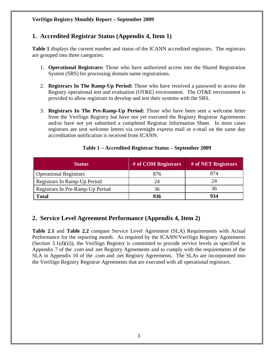# **1. Accredited Registrar Status (Appendix 4, Item 1)**

**Table 1** displays the current number and status of the ICANN accredited registrars. The registrars are grouped into three categories:

- 1. **Operational Registrars:** Those who have authorized access into the Shared Registration System (SRS) for processing domain name registrations.
- 2. **Registrars In The Ramp-Up Period:** Those who have received a password to access the Registry operational test and evaluation (OT&E) environment. The OT&E environment is provided to allow registrars to develop and test their systems with the SRS.
- 3. **Registrars In The Pre-Ramp-Up Period:** Those who have been sent a welcome letter from the VeriSign Registry but have not yet executed the Registry Registrar Agreements and/or have not yet submitted a completed Registrar Information Sheet. In most cases registrars are sent welcome letters via overnight express mail or e-mail on the same day accreditation notification is received from ICANN.

| <b>Status</b>                    | # of COM Registrars | # of NET Registrars |
|----------------------------------|---------------------|---------------------|
| <b>Operational Registrars</b>    | 876                 | 874                 |
| Registrars In Ramp-Up Period     | 24                  | 24                  |
| Registrars In Pre-Ramp-Up Period | 36                  | 36                  |
| <b>Total</b>                     | 936                 | 934                 |

#### **Table 1 – Accredited Registrar Status – September 2009**

# **2. Service Level Agreement Performance (Appendix 4, Item 2)**

**Table 2.1** and **Table 2.2** compare Service Level Agreement (SLA) Requirements with Actual Performance for the reporting month. As required by the ICANN/VeriSign Registry Agreements (Section 3.1(d)(ii)), the VeriSign Registry is committed to provide service levels as specified in Appendix 7 of the .com and .net Registry Agreements and to comply with the requirements of the SLA in Appendix 10 of the .com and .net Registry Agreements. The SLAs are incorporated into the VeriSign Registry Registrar Agreements that are executed with all operational registrars.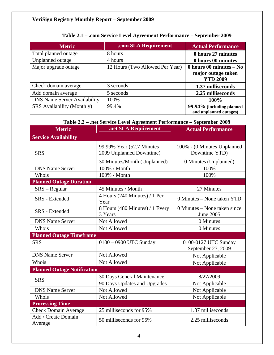| <b>Metric</b>                       | .com SLA Requirement            | <b>Actual Performance</b> |
|-------------------------------------|---------------------------------|---------------------------|
| Total planned outage                | 8 hours                         | 0 hours 27 minutes        |
| Unplanned outage                    | 4 hours                         | 0 hours 00 minutes        |
| Major upgrade outage                | 12 Hours (Two Allowed Per Year) | 0 hours 00 minutes $-$ No |
|                                     |                                 | major outage taken        |
|                                     |                                 | <b>YTD 2009</b>           |
| Check domain average                | 3 seconds                       | 1.37 milliseconds         |
| Add domain average                  | 5 seconds                       | 2.25 milliseconds         |
| <b>DNS Name Server Availability</b> | 100%                            | 100%                      |
| <b>SRS</b> Availability (Monthly)   | 99.4%                           | 99.94% (including planned |
|                                     |                                 | and unplanned outages)    |

# **Table 2.1 – .com Service Level Agreement Performance – September 2009**

# **Table 2.2 – .net Service Level Agreement Performance – September 2009**

| <b>Metric</b>                      | .net SLA Requirement                                  | <b>Actual Performance</b>                    |  |  |
|------------------------------------|-------------------------------------------------------|----------------------------------------------|--|--|
| <b>Service Availability</b>        |                                                       |                                              |  |  |
| <b>SRS</b>                         | 99.99% Year (52.7 Minutes<br>2009 Unplanned Downtime) | 100% - (0 Minutes Unplanned<br>Downtime YTD) |  |  |
|                                    | 30 Minutes/Month (Unplanned)                          | 0 Minutes (Unplanned)                        |  |  |
| <b>DNS Name Server</b>             | 100% / Month                                          | 100%                                         |  |  |
| Whois                              | 100% / Month                                          | 100%                                         |  |  |
| <b>Planned Outage Duration</b>     |                                                       |                                              |  |  |
| $SRS - Regular$                    | 45 Minutes / Month                                    | 27 Minutes                                   |  |  |
| SRS - Extended                     | 4 Hours (240 Minutes) / 1 Per<br>Year                 | 0 Minutes – None taken YTD                   |  |  |
| <b>SRS</b> - Extended              | 8 Hours (480 Minutes) / 1 Every<br>3 Years            | 0 Minutes – None taken since<br>June 2005    |  |  |
| <b>DNS Name Server</b>             | Not Allowed                                           | 0 Minutes                                    |  |  |
| Whois                              | Not Allowed                                           | 0 Minutes                                    |  |  |
| <b>Planned Outage Timeframe</b>    |                                                       |                                              |  |  |
| <b>SRS</b>                         | 0100 - 0900 UTC Sunday                                | 0100-0127 UTC Sunday<br>September 27, 2009   |  |  |
| <b>DNS Name Server</b>             | Not Allowed                                           | Not Applicable                               |  |  |
| Whois                              | Not Allowed                                           | Not Applicable                               |  |  |
| <b>Planned Outage Notification</b> |                                                       |                                              |  |  |
| <b>SRS</b>                         | 30 Days General Maintenance                           | 8/27/2009                                    |  |  |
|                                    | 90 Days Updates and Upgrades                          | Not Applicable                               |  |  |
| <b>DNS Name Server</b>             | Not Allowed                                           | Not Applicable                               |  |  |
| Whois                              | Not Allowed                                           | Not Applicable                               |  |  |
| <b>Processing Time</b>             |                                                       |                                              |  |  |
| <b>Check Domain Average</b>        | 25 milliseconds for 95%                               | 1.37 milliseconds                            |  |  |
| Add / Create Domain<br>Average     | 50 milliseconds for 95%                               | 2.25 milliseconds                            |  |  |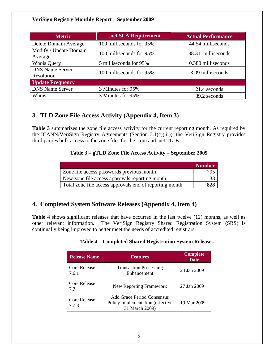| <b>Metric</b>                        | .net SLA Requirement     | <b>Actual Performance</b> |  |  |
|--------------------------------------|--------------------------|---------------------------|--|--|
| Delete Domain Average                | 100 milliseconds for 95% | 44.54 milliseconds        |  |  |
| Modify / Update Domain<br>Average    | 100 milliseconds for 95% | 38.31 milliseconds        |  |  |
| <b>Whois Query</b>                   | 5 milliseconds for 95%   | 0.380 milliseconds        |  |  |
| <b>DNS Name Server</b><br>Resolution | 100 milliseconds for 95% | 3.09 milliseconds         |  |  |
| <b>Update Frequency</b>              |                          |                           |  |  |
| <b>DNS Name Server</b>               | 3 Minutes for 95%        | 21.4 seconds              |  |  |
| Whois                                | 3 Minutes for 95%        | 39.2 seconds              |  |  |

# **3. TLD Zone File Access Activity (Appendix 4, Item 3)**

**Table 3** summarizes the zone file access activity for the current reporting month. As required by the ICANN/VeriSign Registry Agreements (Section 3.1(c)(iii)), the VeriSign Registry provides third parties bulk access to the zone files for the .com and .net TLDs.

#### **Table 3 – gTLD Zone File Access Activity – September 2009**

|                                                         | <b>Number</b> |
|---------------------------------------------------------|---------------|
| Zone file access passwords previous month               | 795           |
| New zone file access approvals reporting month          |               |
| Total zone file access approvals end of reporting month | 828           |

# **4. Completed System Software Releases (Appendix 4, Item 4)**

**Table 4** shows significant releases that have occurred in the last twelve (12) months, as well as other relevant information. The VeriSign Registry Shared Registration System (SRS) is continually being improved to better meet the needs of accredited registrars.

|  | <b>Table 4 – Completed Shared Registration System Releases</b> |  |
|--|----------------------------------------------------------------|--|

| <b>Release Name</b>          | <b>Features</b>                                                                         |             |  |  |
|------------------------------|-----------------------------------------------------------------------------------------|-------------|--|--|
| <b>Core Release</b><br>7.6.1 | <b>Transaction Processing</b><br>Enhancement                                            | 24 Jan 2009 |  |  |
| <b>Core Release</b><br>7.7   | New Reporting Framework                                                                 | 27 Jan 2009 |  |  |
| <b>Core Release</b><br>7.7.3 | <b>Add Grace Period Consensus</b><br>Policy Implementation (effective<br>31 March 2009) | 19 Mar 2009 |  |  |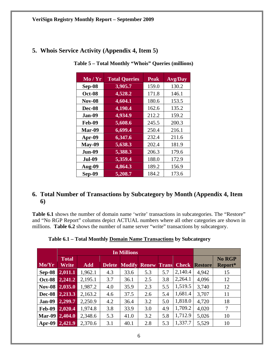| 5. Whois Service Activity (Appendix 4, Item 5) |  |  |  |  |  |
|------------------------------------------------|--|--|--|--|--|
|------------------------------------------------|--|--|--|--|--|

| Mo / Yr       | <b>Total Queries</b> | <b>Peak</b> | <b>Avg/Day</b> |
|---------------|----------------------|-------------|----------------|
| Sep-08        | 3,905.7              | 159.0       | 130.2          |
| <b>Oct-08</b> | 4,528.2              | 171.8       | 146.1          |
| <b>Nov-08</b> | 4,604.1              | 180.6       | 153.5          |
| Dec-08        | 4,190.4              | 162.6       | 135.2          |
| Jan-09        | 4,934.9              | 212.2       | 159.2          |
| <b>Feb-09</b> | 5,608.6              | 245.5       | 200.3          |
| Mar-09        | 6,699.4              | 250.4       | 216.1          |
| Apr-09        | 6,347.6              | 232.4       | 211.6          |
| $May-09$      | 5,638.3              | 202.4       | 181.9          |
| <b>Jun-09</b> | 5,388.3              | 206.3       | 179.6          |
| <b>Jul-09</b> | 5,359.4              | 188.0       | 172.9          |
| Aug-09        | 4,864.3              | 189.2       | 156.9          |
| Sep-09        | 5,208.7              | 184.2       | 173.6          |

 **Table 5 – Total Monthly "Whois" Queries (millions)** 

# **6. Total Number of Transactions by Subcategory by Month (Appendix 4, Item 6)**

Table 6.1 shows the number of domain name 'write' transactions in subcategories. The "Restore" and "No RGP Report" columns depict ACTUAL numbers where all other categories are shown in millions. **Table 6.2** shows the number of name server "write" transactions by subcategory.

|               | <b>Total</b> |            |               |      |                     |              |              |                | No RGP  |
|---------------|--------------|------------|---------------|------|---------------------|--------------|--------------|----------------|---------|
| Mo/Yr         | Write        | <b>Add</b> | <b>Delete</b> |      | <b>Modify Renew</b> | <b>Trans</b> | <b>Check</b> | <b>Restore</b> | Report* |
| Sep-08        | 2,011.1      | 1,962.1    | 4.3           | 33.6 | 5.3                 | 5.7          | 2,140.4      | 4,942          | 15      |
| <b>Oct-08</b> | 2,241.2      | 2,195.1    | 3.7           | 36.1 | 2.5                 | 3.8          | 2,264.1      | 4,096          | 12      |
| <b>Nov-08</b> | 2,035.0      | 1,987.2    | 4.0           | 35.9 | 2.3                 | 5.5          | 1,519.5      | 3,740          | 12      |
| <b>Dec-08</b> | 2,213.3      | 2,163.2    | 4.6           | 37.5 | 2.6                 | 5.4          | 1,681.4      | 3,707          | 11      |
| <b>Jan-09</b> | 2,299.7      | 2,250.9    | 4.2           | 36.4 | 3.2                 | 5.0          | 1,818.0      | 4,720          | 18      |
| <b>Feb-09</b> | 2,020.4      | 1,974.8    | 3.8           | 33.9 | 3.0                 | 4.9          | 1,709.2      | 4,020          | 7       |
| Mar-09        | 2,404.0      | 2,348.6    | 5.3           | 41.0 | 3.2                 | 5.8          | 1,712.9      | 5,026          | 10      |
| $Apr-09$      | 2,421.9      | 2,370.6    | 3.1           | 40.1 | 2.8                 | 5.3          | 1,337.7      | 5,529          | 10      |

**Table 6.1 – Total Monthly Domain Name Transactions by Subcategory**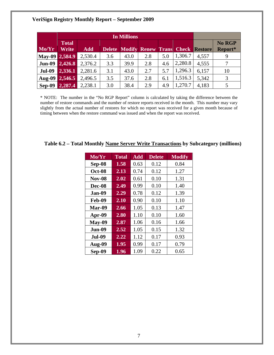| Mo/Yr          | <b>Total</b><br>Write | <b>Add</b> |     |      |     |     |         | <b>Delete Modify Renew Trans Check Restore</b> | <b>No RGP</b><br>Report* |
|----------------|-----------------------|------------|-----|------|-----|-----|---------|------------------------------------------------|--------------------------|
| May-09 2,584.9 |                       | 2,530.4    | 3.6 | 43.0 | 2.8 | 5.0 | 1,306.7 | 4,557                                          | 9                        |
| <b>Jun-09</b>  | 2,426.8               | 2,376.2    | 3.3 | 39.9 | 2.8 | 4.6 | 2,280.8 | 4,555                                          |                          |
| <b>Jul-09</b>  | 2,336.1               | 2,281.6    | 3.1 | 43.0 | 2.7 | 5.7 | 1,296.3 | 6,157                                          | 10                       |
| Aug-09         | 2,546.5               | 2,496.5    | 3.5 | 37.6 | 2.8 | 6.1 | 1,516.3 | 5,342                                          | 3                        |
| <b>Sep-09</b>  | 2,287.4               | 2,238.1    | 3.0 | 38.4 | 2.9 | 4.9 | 1,270.7 | 4,183                                          | 5                        |

\* NOTE: The number in the "No RGP Report" column is calculated by taking the difference between the number of restore commands and the number of restore reports received in the month. This number may vary slightly from the actual number of restores for which no report was received for a given month because of timing between when the restore command was issued and when the report was received.

| $\overline{\text{Mo}}/\text{Yr}$ | <b>Total</b> | <b>Add</b> | <b>Delete</b> | <b>Modify</b> |
|----------------------------------|--------------|------------|---------------|---------------|
| Sep-08                           | 1.58         | 0.63       | 0.12          | 0.84          |
| <b>Oct-08</b>                    | 2.13         | 0.74       | 0.12          | 1.27          |
| <b>Nov-08</b>                    | 2.02         | 0.61       | 0.10          | 1.31          |
| Dec-08                           | 2.49         | 0.99       | 0.10          | 1.40          |
| Jan-09                           | 2.29         | 0.78       | 0.12          | 1.39          |
| Feb-09                           | 2.10         | 0.90       | 0.10          | 1.10          |
| Mar-09                           | 2.66         | 1.05       | 0.13          | 1.47          |
| Apr-09                           | 2.80         | 1.10       | 0.10          | 1.60          |
| <b>May-09</b>                    | 2.87         | 1.06       | 0.16          | 1.66          |
| <b>Jun-09</b>                    | 2.52         | 1.05       | 0.15          | 1.32          |
| <b>Jul-09</b>                    | 2.22         | 1.12       | 0.17          | 0.93          |
| Aug-09                           | 1.95         | 0.99       | 0.17          | 0.79          |
| Sep-09                           | 1.96         | 1.09       | 0.22          | 0.65          |

**Table 6.2 – Total Monthly Name Server Write Transactions by Subcategory (millions)**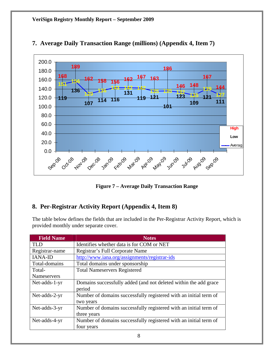

# **7. Average Daily Transaction Range (millions) (Appendix 4, Item 7)**

**Figure 7 – Average Daily Transaction Range** 

# **8. Per-Registrar Activity Report (Appendix 4, Item 8)**

The table below defines the fields that are included in the Per-Registrar Activity Report, which is provided monthly under separate cover.

| <b>Field Name</b> | <b>Notes</b>                                                      |
|-------------------|-------------------------------------------------------------------|
| TLD.              | Identifies whether data is for COM or NET                         |
| Registrar-name    | Registrar's Full Corporate Name                                   |
| <b>IANA-ID</b>    | http://www.iana.org/assignments/registrar-ids                     |
| Total-domains     | Total domains under sponsorship                                   |
| Total-            | <b>Total Nameservers Registered</b>                               |
| Nameservers       |                                                                   |
| Net-adds-1-yr     | Domains successfully added (and not deleted within the add grace  |
|                   | period                                                            |
| Net-adds-2-yr     | Number of domains successfully registered with an initial term of |
|                   | two years                                                         |
| Net-adds-3-yr     | Number of domains successfully registered with an initial term of |
|                   | three years                                                       |
| Net-adds-4-yr     | Number of domains successfully registered with an initial term of |
|                   | four years                                                        |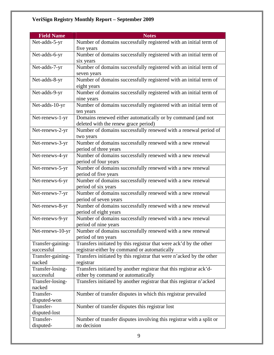| <b>Field Name</b>           | <b>Notes</b>                                                                                        |  |  |
|-----------------------------|-----------------------------------------------------------------------------------------------------|--|--|
| Net-adds-5-yr               | Number of domains successfully registered with an initial term of                                   |  |  |
|                             | five years                                                                                          |  |  |
| Net-adds-6-yr               | Number of domains successfully registered with an initial term of                                   |  |  |
|                             | six years                                                                                           |  |  |
| Net-adds-7-yr               | Number of domains successfully registered with an initial term of                                   |  |  |
|                             | seven years                                                                                         |  |  |
| Net-adds-8-yr               | Number of domains successfully registered with an initial term of                                   |  |  |
|                             | eight years                                                                                         |  |  |
| Net-adds-9-yr               | Number of domains successfully registered with an initial term of                                   |  |  |
|                             | nine years                                                                                          |  |  |
| Net-adds-10-yr              | Number of domains successfully registered with an initial term of                                   |  |  |
|                             | ten years                                                                                           |  |  |
| Net-renews-1-yr             | Domains renewed either automatically or by command (and not<br>deleted with the renew grace period) |  |  |
| Net-renews-2-yr             | Number of domains successfully renewed with a renewal period of                                     |  |  |
|                             | two years                                                                                           |  |  |
| Net-renews-3-yr             | Number of domains successfully renewed with a new renewal                                           |  |  |
|                             | period of three years                                                                               |  |  |
| Net-renews-4-yr             | Number of domains successfully renewed with a new renewal                                           |  |  |
|                             | period of four years                                                                                |  |  |
| Net-renews-5-yr             | Number of domains successfully renewed with a new renewal                                           |  |  |
|                             | period of five years                                                                                |  |  |
| Net-renews-6-yr             | Number of domains successfully renewed with a new renewal                                           |  |  |
|                             | period of six years                                                                                 |  |  |
| Net-renews-7-yr             | Number of domains successfully renewed with a new renewal                                           |  |  |
|                             | period of seven years                                                                               |  |  |
| Net-renews-8-yr             | Number of domains successfully renewed with a new renewal                                           |  |  |
|                             | period of eight years                                                                               |  |  |
| Net-renews-9-yr             | Number of domains successfully renewed with a new renewal                                           |  |  |
|                             | period of nine years                                                                                |  |  |
| Net-renews-10-yr            | Number of domains successfully renewed with a new renewal                                           |  |  |
|                             | period of ten years                                                                                 |  |  |
| Transfer-gaining-           | Transfers initiated by this registrar that were ack'd by the other                                  |  |  |
| successful                  | registrar-either by command or automatically                                                        |  |  |
| Transfer-gaining-<br>nacked | Transfers initiated by this registrar that were n'acked by the other<br>registrar                   |  |  |
| Transfer-losing-            | Transfers initiated by another registrar that this registrar ack'd-                                 |  |  |
| successful                  | either by command or automatically                                                                  |  |  |
| Transfer-losing-            | Transfers initiated by another registrar that this registrar n'acked                                |  |  |
| nacked                      |                                                                                                     |  |  |
| Transfer-                   | Number of transfer disputes in which this registrar prevailed                                       |  |  |
| disputed-won                |                                                                                                     |  |  |
| Transfer-                   | Number of transfer disputes this registrar lost                                                     |  |  |
| disputed-lost               |                                                                                                     |  |  |
| Transfer-                   | Number of transfer disputes involving this registrar with a split or                                |  |  |
| disputed-                   | no decision                                                                                         |  |  |